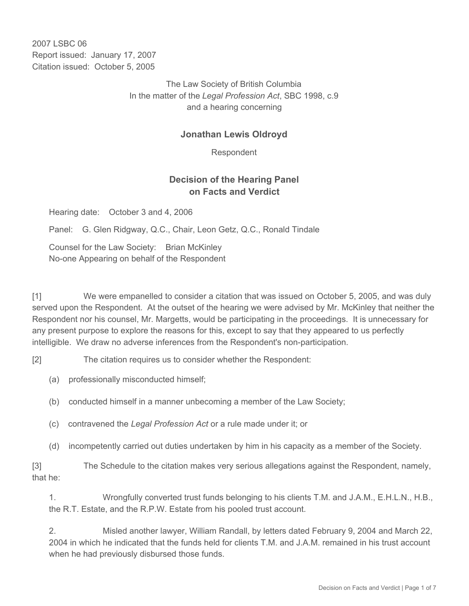2007 LSBC 06 Report issued: January 17, 2007 Citation issued: October 5, 2005

> The Law Society of British Columbia In the matter of the *Legal Profession Act*, SBC 1998, c.9 and a hearing concerning

#### **Jonathan Lewis Oldroyd**

Respondent

### **Decision of the Hearing Panel on Facts and Verdict**

Hearing date: October 3 and 4, 2006

Panel: G. Glen Ridgway, Q.C., Chair, Leon Getz, Q.C., Ronald Tindale

Counsel for the Law Society: Brian McKinley No-one Appearing on behalf of the Respondent

[1] We were empanelled to consider a citation that was issued on October 5, 2005, and was duly served upon the Respondent. At the outset of the hearing we were advised by Mr. McKinley that neither the Respondent nor his counsel, Mr. Margetts, would be participating in the proceedings. It is unnecessary for any present purpose to explore the reasons for this, except to say that they appeared to us perfectly intelligible. We draw no adverse inferences from the Respondent's non-participation.

[2] The citation requires us to consider whether the Respondent:

(a) professionally misconducted himself;

(b) conducted himself in a manner unbecoming a member of the Law Society;

- (c) contravened the *Legal Profession Act* or a rule made under it; or
- (d) incompetently carried out duties undertaken by him in his capacity as a member of the Society.

[3] The Schedule to the citation makes very serious allegations against the Respondent, namely, that he:

1. Wrongfully converted trust funds belonging to his clients T.M. and J.A.M., E.H.L.N., H.B., the R.T. Estate, and the R.P.W. Estate from his pooled trust account.

2. Misled another lawyer, William Randall, by letters dated February 9, 2004 and March 22, 2004 in which he indicated that the funds held for clients T.M. and J.A.M. remained in his trust account when he had previously disbursed those funds.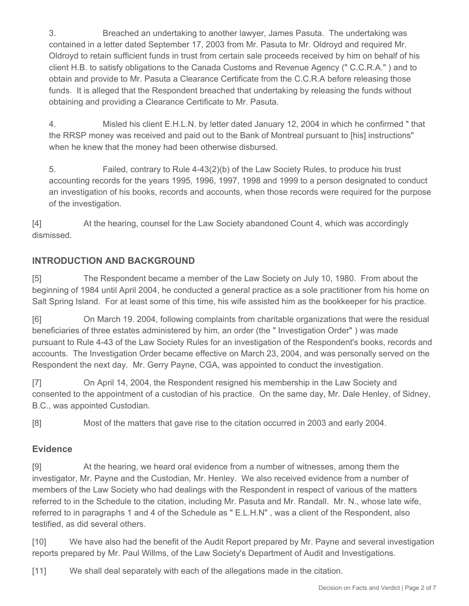3. Breached an undertaking to another lawyer, James Pasuta. The undertaking was contained in a letter dated September 17, 2003 from Mr. Pasuta to Mr. Oldroyd and required Mr. Oldroyd to retain sufficient funds in trust from certain sale proceeds received by him on behalf of his client H.B. to satisfy obligations to the Canada Customs and Revenue Agency (" C.C.R.A." ) and to obtain and provide to Mr. Pasuta a Clearance Certificate from the C.C.R.A before releasing those funds. It is alleged that the Respondent breached that undertaking by releasing the funds without obtaining and providing a Clearance Certificate to Mr. Pasuta.

4. Misled his client E.H.L.N. by letter dated January 12, 2004 in which he confirmed " that the RRSP money was received and paid out to the Bank of Montreal pursuant to [his] instructions" when he knew that the money had been otherwise disbursed.

5. Failed, contrary to Rule 4-43(2)(b) of the Law Society Rules, to produce his trust accounting records for the years 1995, 1996, 1997, 1998 and 1999 to a person designated to conduct an investigation of his books, records and accounts, when those records were required for the purpose of the investigation.

[4] At the hearing, counsel for the Law Society abandoned Count 4, which was accordingly dismissed.

# **INTRODUCTION AND BACKGROUND**

[5] The Respondent became a member of the Law Society on July 10, 1980. From about the beginning of 1984 until April 2004, he conducted a general practice as a sole practitioner from his home on Salt Spring Island. For at least some of this time, his wife assisted him as the bookkeeper for his practice.

[6] On March 19. 2004, following complaints from charitable organizations that were the residual beneficiaries of three estates administered by him, an order (the " Investigation Order" ) was made pursuant to Rule 4-43 of the Law Society Rules for an investigation of the Respondent's books, records and accounts. The Investigation Order became effective on March 23, 2004, and was personally served on the Respondent the next day. Mr. Gerry Payne, CGA, was appointed to conduct the investigation.

[7] On April 14, 2004, the Respondent resigned his membership in the Law Society and consented to the appointment of a custodian of his practice. On the same day, Mr. Dale Henley, of Sidney, B.C., was appointed Custodian.

[8] Most of the matters that gave rise to the citation occurred in 2003 and early 2004.

## **Evidence**

[9] At the hearing, we heard oral evidence from a number of witnesses, among them the investigator, Mr. Payne and the Custodian, Mr. Henley. We also received evidence from a number of members of the Law Society who had dealings with the Respondent in respect of various of the matters referred to in the Schedule to the citation, including Mr. Pasuta and Mr. Randall. Mr. N., whose late wife, referred to in paragraphs 1 and 4 of the Schedule as " E.L.H.N" , was a client of the Respondent, also testified, as did several others.

[10] We have also had the benefit of the Audit Report prepared by Mr. Payne and several investigation reports prepared by Mr. Paul Willms, of the Law Society's Department of Audit and Investigations.

[11] We shall deal separately with each of the allegations made in the citation.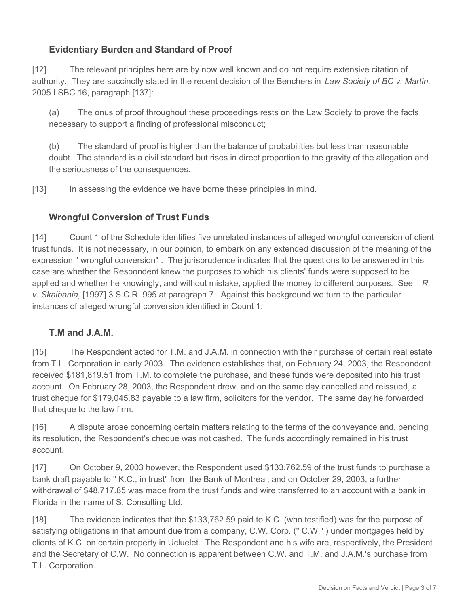## **Evidentiary Burden and Standard of Proof**

[12] The relevant principles here are by now well known and do not require extensive citation of authority. They are succinctly stated in the recent decision of the Benchers in *Law Society of BC v. Martin,*  2005 LSBC 16, paragraph [137]:

(a) The onus of proof throughout these proceedings rests on the Law Society to prove the facts necessary to support a finding of professional misconduct;

(b) The standard of proof is higher than the balance of probabilities but less than reasonable doubt. The standard is a civil standard but rises in direct proportion to the gravity of the allegation and the seriousness of the consequences.

[13] In assessing the evidence we have borne these principles in mind.

### **Wrongful Conversion of Trust Funds**

[14] Count 1 of the Schedule identifies five unrelated instances of alleged wrongful conversion of client trust funds. It is not necessary, in our opinion, to embark on any extended discussion of the meaning of the expression " wrongful conversion" . The jurisprudence indicates that the questions to be answered in this case are whether the Respondent knew the purposes to which his clients' funds were supposed to be applied and whether he knowingly, and without mistake, applied the money to different purposes. See *R. v. Skalbania,* [1997] 3 S.C.R. 995 at paragraph 7. Against this background we turn to the particular instances of alleged wrongful conversion identified in Count 1.

### **T.M and J.A.M.**

[15] The Respondent acted for T.M. and J.A.M. in connection with their purchase of certain real estate from T.L. Corporation in early 2003. The evidence establishes that, on February 24, 2003, the Respondent received \$181,819.51 from T.M. to complete the purchase, and these funds were deposited into his trust account. On February 28, 2003, the Respondent drew, and on the same day cancelled and reissued, a trust cheque for \$179,045.83 payable to a law firm, solicitors for the vendor. The same day he forwarded that cheque to the law firm.

[16] A dispute arose concerning certain matters relating to the terms of the conveyance and, pending its resolution, the Respondent's cheque was not cashed. The funds accordingly remained in his trust account.

[17] On October 9, 2003 however, the Respondent used \$133,762.59 of the trust funds to purchase a bank draft payable to " K.C., in trust" from the Bank of Montreal; and on October 29, 2003, a further withdrawal of \$48,717.85 was made from the trust funds and wire transferred to an account with a bank in Florida in the name of S. Consulting Ltd.

[18] The evidence indicates that the \$133,762.59 paid to K.C. (who testified) was for the purpose of satisfying obligations in that amount due from a company, C.W. Corp. (" C.W." ) under mortgages held by clients of K.C. on certain property in Ucluelet. The Respondent and his wife are, respectively, the President and the Secretary of C.W. No connection is apparent between C.W. and T.M. and J.A.M.'s purchase from T.L. Corporation.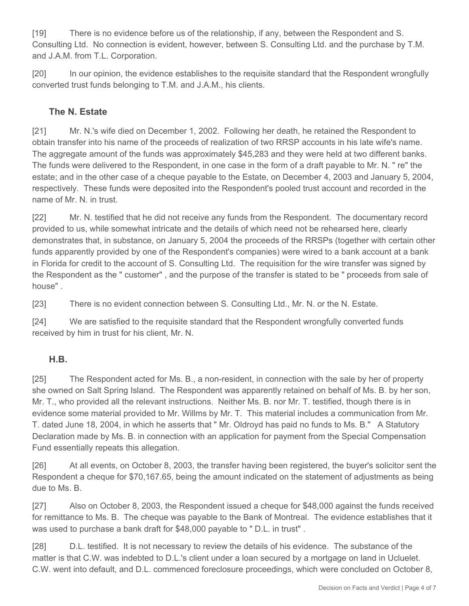[19] There is no evidence before us of the relationship, if any, between the Respondent and S. Consulting Ltd. No connection is evident, however, between S. Consulting Ltd. and the purchase by T.M. and J.A.M. from T.L. Corporation.

[20] In our opinion, the evidence establishes to the requisite standard that the Respondent wrongfully converted trust funds belonging to T.M. and J.A.M., his clients.

### **The N. Estate**

[21] Mr. N.'s wife died on December 1, 2002. Following her death, he retained the Respondent to obtain transfer into his name of the proceeds of realization of two RRSP accounts in his late wife's name. The aggregate amount of the funds was approximately \$45,283 and they were held at two different banks. The funds were delivered to the Respondent, in one case in the form of a draft payable to Mr. N. " re" the estate; and in the other case of a cheque payable to the Estate, on December 4, 2003 and January 5, 2004, respectively. These funds were deposited into the Respondent's pooled trust account and recorded in the name of Mr. N. in trust.

[22] Mr. N. testified that he did not receive any funds from the Respondent. The documentary record provided to us, while somewhat intricate and the details of which need not be rehearsed here, clearly demonstrates that, in substance, on January 5, 2004 the proceeds of the RRSPs (together with certain other funds apparently provided by one of the Respondent's companies) were wired to a bank account at a bank in Florida for credit to the account of S. Consulting Ltd. The requisition for the wire transfer was signed by the Respondent as the " customer" , and the purpose of the transfer is stated to be " proceeds from sale of house" .

[23] There is no evident connection between S. Consulting Ltd., Mr. N. or the N. Estate.

[24] We are satisfied to the requisite standard that the Respondent wrongfully converted funds received by him in trust for his client, Mr. N.

### **H.B.**

[25] The Respondent acted for Ms. B., a non-resident, in connection with the sale by her of property she owned on Salt Spring Island. The Respondent was apparently retained on behalf of Ms. B. by her son, Mr. T., who provided all the relevant instructions. Neither Ms. B. nor Mr. T. testified, though there is in evidence some material provided to Mr. Willms by Mr. T. This material includes a communication from Mr. T. dated June 18, 2004, in which he asserts that " Mr. Oldroyd has paid no funds to Ms. B." A Statutory Declaration made by Ms. B. in connection with an application for payment from the Special Compensation Fund essentially repeats this allegation.

[26] At all events, on October 8, 2003, the transfer having been registered, the buyer's solicitor sent the Respondent a cheque for \$70,167.65, being the amount indicated on the statement of adjustments as being due to Ms. B.

[27] Also on October 8, 2003, the Respondent issued a cheque for \$48,000 against the funds received for remittance to Ms. B. The cheque was payable to the Bank of Montreal. The evidence establishes that it was used to purchase a bank draft for \$48,000 payable to " D.L. in trust" .

[28] D.L. testified. It is not necessary to review the details of his evidence. The substance of the matter is that C.W. was indebted to D.L.'s client under a loan secured by a mortgage on land in Ucluelet. C.W. went into default, and D.L. commenced foreclosure proceedings, which were concluded on October 8,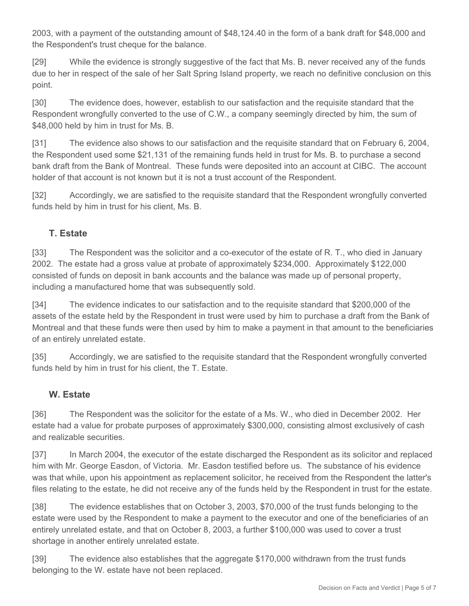2003, with a payment of the outstanding amount of \$48,124.40 in the form of a bank draft for \$48,000 and the Respondent's trust cheque for the balance.

[29] While the evidence is strongly suggestive of the fact that Ms. B. never received any of the funds due to her in respect of the sale of her Salt Spring Island property, we reach no definitive conclusion on this point.

[30] The evidence does, however, establish to our satisfaction and the requisite standard that the Respondent wrongfully converted to the use of C.W., a company seemingly directed by him, the sum of \$48,000 held by him in trust for Ms. B.

[31] The evidence also shows to our satisfaction and the requisite standard that on February 6, 2004, the Respondent used some \$21,131 of the remaining funds held in trust for Ms. B. to purchase a second bank draft from the Bank of Montreal. These funds were deposited into an account at CIBC. The account holder of that account is not known but it is not a trust account of the Respondent.

[32] Accordingly, we are satisfied to the requisite standard that the Respondent wrongfully converted funds held by him in trust for his client, Ms. B.

## **T. Estate**

[33] The Respondent was the solicitor and a co-executor of the estate of R. T., who died in January 2002. The estate had a gross value at probate of approximately \$234,000. Approximately \$122,000 consisted of funds on deposit in bank accounts and the balance was made up of personal property, including a manufactured home that was subsequently sold.

[34] The evidence indicates to our satisfaction and to the requisite standard that \$200,000 of the assets of the estate held by the Respondent in trust were used by him to purchase a draft from the Bank of Montreal and that these funds were then used by him to make a payment in that amount to the beneficiaries of an entirely unrelated estate.

[35] Accordingly, we are satisfied to the requisite standard that the Respondent wrongfully converted funds held by him in trust for his client, the T. Estate.

### **W. Estate**

[36] The Respondent was the solicitor for the estate of a Ms. W., who died in December 2002. Her estate had a value for probate purposes of approximately \$300,000, consisting almost exclusively of cash and realizable securities.

[37] In March 2004, the executor of the estate discharged the Respondent as its solicitor and replaced him with Mr. George Easdon, of Victoria. Mr. Easdon testified before us. The substance of his evidence was that while, upon his appointment as replacement solicitor, he received from the Respondent the latter's files relating to the estate, he did not receive any of the funds held by the Respondent in trust for the estate.

[38] The evidence establishes that on October 3, 2003, \$70,000 of the trust funds belonging to the estate were used by the Respondent to make a payment to the executor and one of the beneficiaries of an entirely unrelated estate, and that on October 8, 2003, a further \$100,000 was used to cover a trust shortage in another entirely unrelated estate.

[39] The evidence also establishes that the aggregate \$170,000 withdrawn from the trust funds belonging to the W. estate have not been replaced.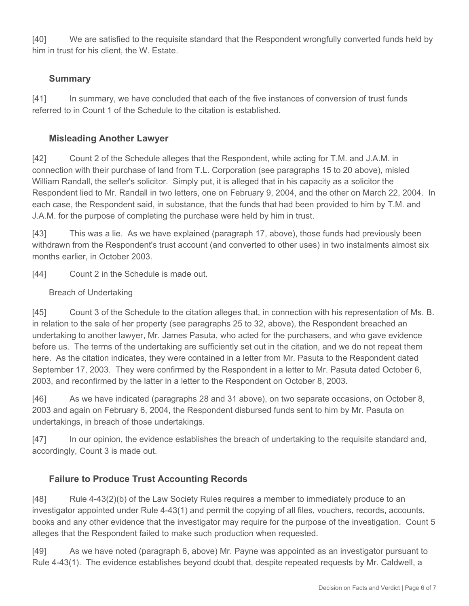[40] We are satisfied to the requisite standard that the Respondent wrongfully converted funds held by him in trust for his client, the W. Estate.

### **Summary**

[41] In summary, we have concluded that each of the five instances of conversion of trust funds referred to in Count 1 of the Schedule to the citation is established.

# **Misleading Another Lawyer**

[42] Count 2 of the Schedule alleges that the Respondent, while acting for T.M. and J.A.M. in connection with their purchase of land from T.L. Corporation (see paragraphs 15 to 20 above), misled William Randall, the seller's solicitor. Simply put, it is alleged that in his capacity as a solicitor the Respondent lied to Mr. Randall in two letters, one on February 9, 2004, and the other on March 22, 2004. In each case, the Respondent said, in substance, that the funds that had been provided to him by T.M. and J.A.M. for the purpose of completing the purchase were held by him in trust.

[43] This was a lie. As we have explained (paragraph 17, above), those funds had previously been withdrawn from the Respondent's trust account (and converted to other uses) in two instalments almost six months earlier, in October 2003.

[44] Count 2 in the Schedule is made out.

### Breach of Undertaking

[45] Count 3 of the Schedule to the citation alleges that, in connection with his representation of Ms. B. in relation to the sale of her property (see paragraphs 25 to 32, above), the Respondent breached an undertaking to another lawyer, Mr. James Pasuta, who acted for the purchasers, and who gave evidence before us. The terms of the undertaking are sufficiently set out in the citation, and we do not repeat them here. As the citation indicates, they were contained in a letter from Mr. Pasuta to the Respondent dated September 17, 2003. They were confirmed by the Respondent in a letter to Mr. Pasuta dated October 6, 2003, and reconfirmed by the latter in a letter to the Respondent on October 8, 2003.

[46] As we have indicated (paragraphs 28 and 31 above), on two separate occasions, on October 8, 2003 and again on February 6, 2004, the Respondent disbursed funds sent to him by Mr. Pasuta on undertakings, in breach of those undertakings.

[47] In our opinion, the evidence establishes the breach of undertaking to the requisite standard and, accordingly, Count 3 is made out.

## **Failure to Produce Trust Accounting Records**

[48] Rule 4-43(2)(b) of the Law Society Rules requires a member to immediately produce to an investigator appointed under Rule 4-43(1) and permit the copying of all files, vouchers, records, accounts, books and any other evidence that the investigator may require for the purpose of the investigation. Count 5 alleges that the Respondent failed to make such production when requested.

[49] As we have noted (paragraph 6, above) Mr. Payne was appointed as an investigator pursuant to Rule 4-43(1). The evidence establishes beyond doubt that, despite repeated requests by Mr. Caldwell, a